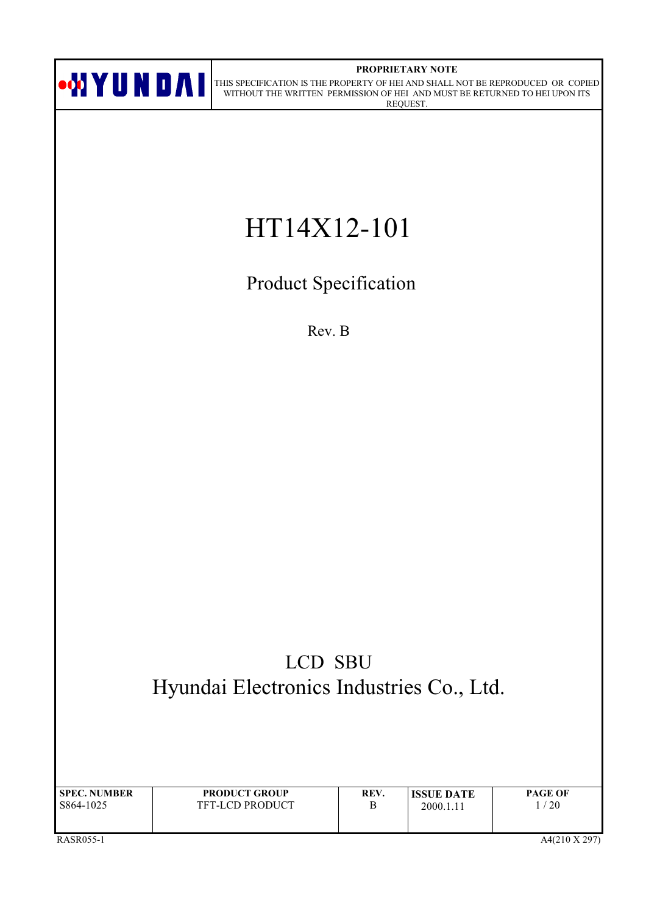

#### PROPRIETARY NOTE

ON DAI THIS SPECIFICATION IS THE PROPERTY OF HEI AND SHALL NOT BE REPRODUCED OR COPIED WITHOUT THE WRITTEN PERMISSION OF HEI AND MUST BE RETURNED TO HEI UPON ITS REQUEST.

# HT14X12-101

Product Specification

Rev. B

# LCD SBU Hyundai Electronics Industries Co., Ltd.

| <b>SPEC. NUMBER</b> | <b>PRODUCT GROUP</b>   | REV. | <b>ISSUE DATE</b> | <b>PAGE OF</b> |
|---------------------|------------------------|------|-------------------|----------------|
| S864-1025           | <b>TFT-LCD PRODUCT</b> | В    | 2000.1.11         | $^{\prime}$ 20 |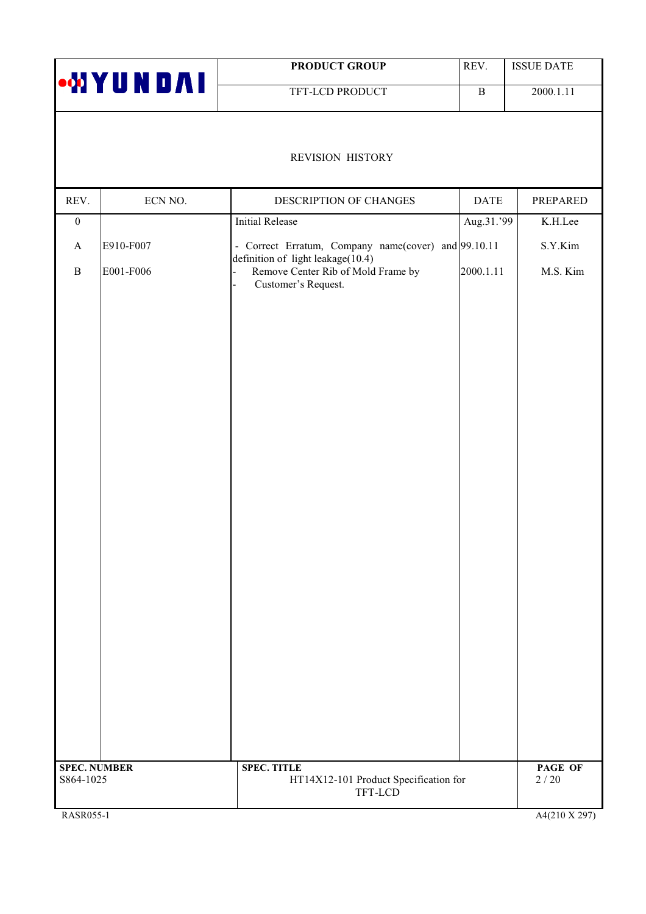|                     |                | <b>PRODUCT GROUP</b>                                                                           | REV.         | <b>ISSUE DATE</b> |
|---------------------|----------------|------------------------------------------------------------------------------------------------|--------------|-------------------|
|                     | <b>WYUNDAI</b> | TFT-LCD PRODUCT                                                                                | $\, {\bf B}$ | 2000.1.11         |
|                     |                | REVISION HISTORY                                                                               |              |                   |
| REV.                | ECN NO.        | DESCRIPTION OF CHANGES                                                                         | <b>DATE</b>  | PREPARED          |
| $\boldsymbol{0}$    |                | <b>Initial Release</b>                                                                         | Aug.31.'99   | K.H.Lee           |
| $\mathbf{A}$        | E910-F007      | - Correct Erratum, Company name(cover) and 99.10.11                                            |              | S.Y.Kim           |
| $\, {\bf B}$        | E001-F006      | definition of light leakage(10.4)<br>Remove Center Rib of Mold Frame by<br>Customer's Request. | 2000.1.11    | M.S. Kim          |
|                     |                |                                                                                                |              |                   |
|                     |                |                                                                                                |              |                   |
|                     |                |                                                                                                |              |                   |
|                     |                |                                                                                                |              |                   |
|                     |                |                                                                                                |              |                   |
|                     |                |                                                                                                |              |                   |
|                     |                |                                                                                                |              |                   |
|                     |                |                                                                                                |              |                   |
|                     |                |                                                                                                |              |                   |
|                     |                |                                                                                                |              |                   |
| <b>SPEC. NUMBER</b> |                | <b>SPEC. TITLE</b>                                                                             |              | PAGE OF           |
| S864-1025           |                | HT14X12-101 Product Specification for<br>TFT-LCD                                               |              | $2/20$            |

RASR055-1

 $A4(210 \text{ X } 297)$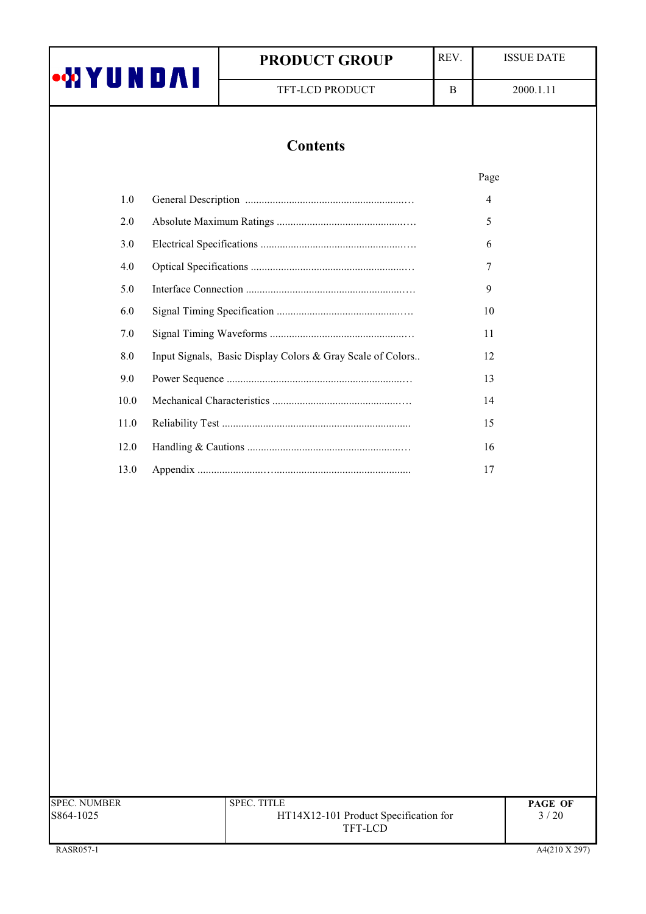|                | <b>PRODUCT GROUP</b>                                       | REV. | <b>ISSUE DATE</b> |
|----------------|------------------------------------------------------------|------|-------------------|
| <b>MYUNDAI</b> | TFT-LCD PRODUCT                                            | B    | 2000.1.11         |
|                |                                                            |      |                   |
|                | <b>Contents</b>                                            |      |                   |
|                |                                                            |      | Page              |
| 1.0            |                                                            |      | 4                 |
| 2.0            |                                                            |      | 5                 |
| 3.0            |                                                            |      | 6                 |
| 4.0            |                                                            |      | 7                 |
| 5.0            |                                                            |      | 9                 |
| 6.0            |                                                            |      | 10                |
| 7.0            |                                                            |      | 11                |
| 8.0            | Input Signals, Basic Display Colors & Gray Scale of Colors |      | 12                |
| 9.0            |                                                            |      | 13                |
| 10.0           |                                                            |      | 14                |
| 11.0           |                                                            |      | 15                |
| 12.0           |                                                            |      | 16                |
| 13.0           |                                                            |      | 17                |

| <b>SPEC. NUMBER</b><br>S864-1025 | <b>SPEC. TITLE</b><br>HT14X12-101 Product Specification for<br>TFT-LCD | <b>PAGE OF</b><br>3/20 |
|----------------------------------|------------------------------------------------------------------------|------------------------|
| RASR057-1                        |                                                                        | A4(210 X 297)          |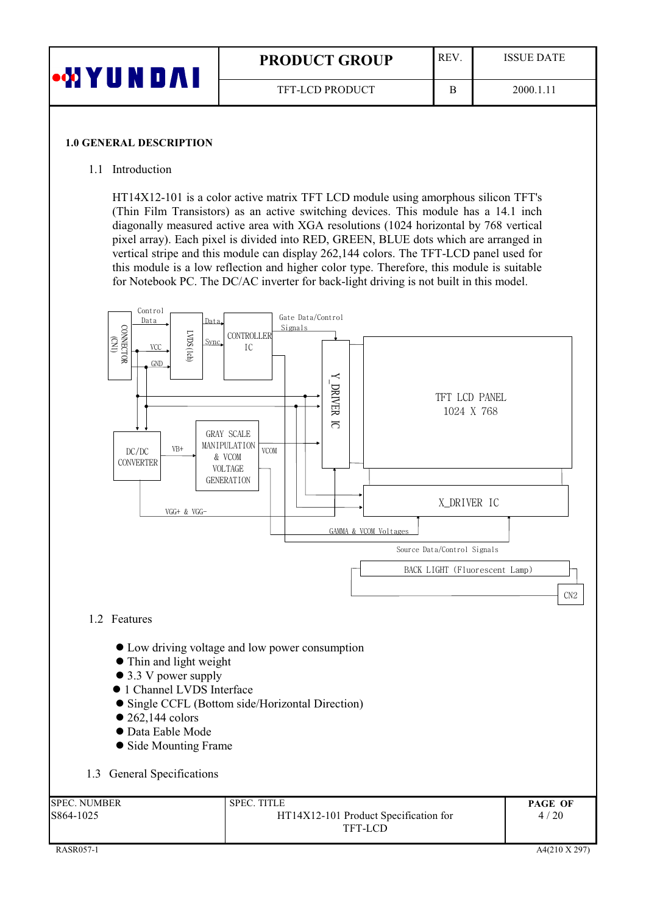| <b>WYUNDAI</b> | <b>PRODUCT GROUP</b>   | <b>REV</b> | <b>ISSUE DATE</b> |
|----------------|------------------------|------------|-------------------|
|                | <b>TFT-LCD PRODUCT</b> |            | 2000.1.11         |

#### **1.0 GENERAL DESCRIPTION**

#### 1.1 Introduction

HT14X12-101 is a color active matrix TFT LCD module using amorphous silicon TFT's (Thin Film Transistors) as an active switching devices. This module has a 14.1 inch diagonally measured active area with XGA resolutions (1024 horizontal by 768 vertical pixel array). Each pixel is divided into RED, GREEN, BLUE dots which are arranged in vertical stripe and this module can display 262,144 colors. The TFT-LCD panel used for this module is a low reflection and higher color type. Therefore, this module is suitable for Notebook PC. The DC/AC inverter for back-light driving is not built in this model.

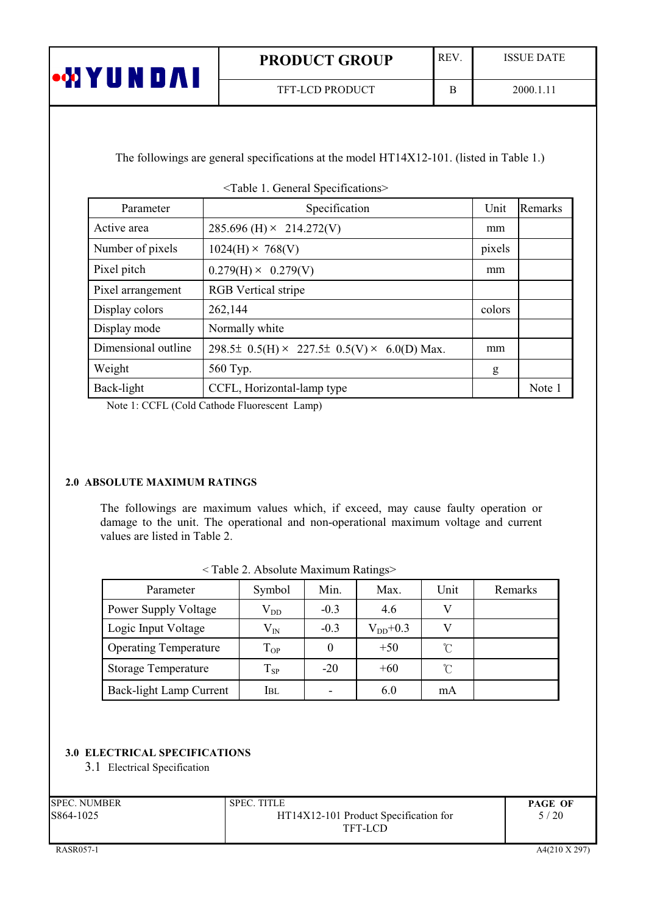| <b>MUX No</b>     | <b>PRODUCT GROUP</b>   | <b>REV</b> | <b>ISSUE DATE</b> |
|-------------------|------------------------|------------|-------------------|
| <b>CONTRACTOR</b> | <b>TFT-LCD PRODUCT</b> |            | 2000.1.11         |

The followings are general specifications at the model HT14X12-101. (listed in Table 1.)

<Table 1. General Specifications>

| Parameter           | Specification                                             | Unit   | Remarks |
|---------------------|-----------------------------------------------------------|--------|---------|
| Active area         | $285.696$ (H) $\times$ 214.272(V)                         | mm     |         |
| Number of pixels    | $1024(H) \times 768(V)$                                   | pixels |         |
| Pixel pitch         | $0.279(H) \times 0.279(V)$                                | mm     |         |
| Pixel arrangement   | <b>RGB</b> Vertical stripe                                |        |         |
| Display colors      | 262,144                                                   | colors |         |
| Display mode        | Normally white                                            |        |         |
| Dimensional outline | 298.5± $0.5(H) \times 227.5\pm 0.5(V) \times 6.0(D)$ Max. | mm     |         |
| Weight              | 560 Typ.                                                  | g      |         |
| Back-light          | CCFL, Horizontal-lamp type                                |        | Note 1  |

Note 1: CCFL (Cold Cathode Fluorescent Lamp)

# 2.0 ABSOLUTE MAXIMUM RATINGS

The followings are maximum values which, if exceed, may cause faulty operation or damage to the unit. The operational and non-operational maximum voltage and current values are listed in Table 2.

| $\sim$ 1 apro $\epsilon$ , 7 rosofulto ividaminini ixamigsz |              |        |              |                     |         |  |
|-------------------------------------------------------------|--------------|--------|--------------|---------------------|---------|--|
| Parameter                                                   | Symbol       | Min.   | Max.         | Unit                | Remarks |  |
| <b>Power Supply Voltage</b>                                 | $\rm V_{DD}$ | $-0.3$ | 4.6          |                     |         |  |
| Logic Input Voltage                                         | $\rm V_{IN}$ | $-0.3$ | $V_{DD}+0.3$ |                     |         |  |
| <b>Operating Temperature</b>                                | $\rm T_{OP}$ |        | $+50$        | $\mathcal{C}$       |         |  |
| <b>Storage Temperature</b>                                  | $T_{SP}$     | $-20$  | $+60$        | $\int_{0}^{\infty}$ |         |  |
| Back-light Lamn Current                                     | Iri          |        | 60           | mA                  |         |  |

<Table ? Absolute Maximum Ratings>

# 3.0 ELECTRICAL SPECIFICATIONS

3.1 Electrical Specification

| SPEC. NUMBER | <b>SPEC. TITLE</b>                    | <b>PAGE OF</b> |
|--------------|---------------------------------------|----------------|
| S864-1025    | HT14X12-101 Product Specification for | 5/20           |
|              | TFT-LCD                               |                |
|              |                                       |                |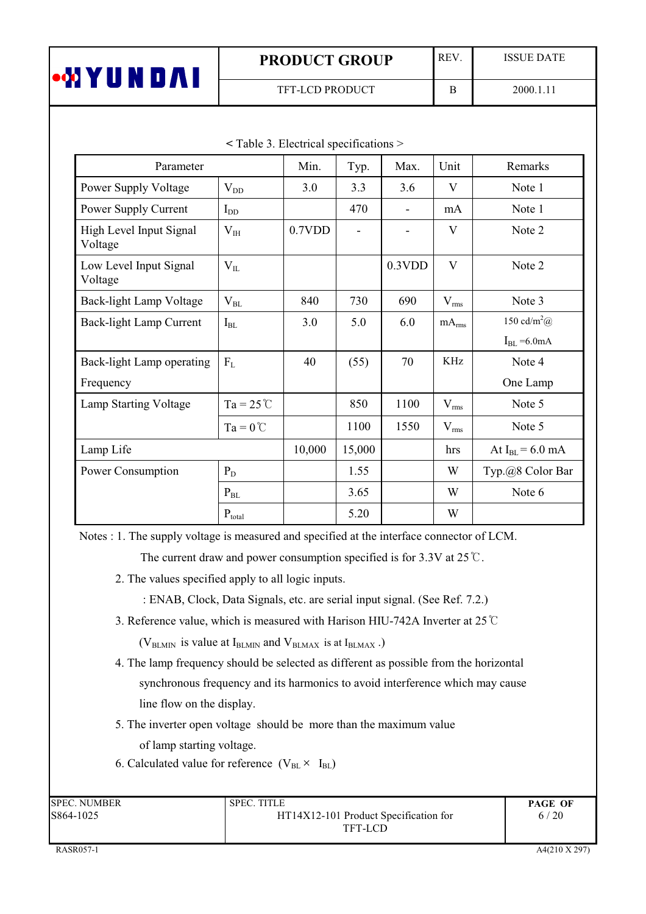| N.<br>•MYU<br>$\Lambda$ | <b>PRODUCT GROUP</b>   | <b>REV</b> | <b>ISSUE DATE</b> |
|-------------------------|------------------------|------------|-------------------|
|                         | <b>TFT-LCD PRODUCT</b> | D          | 2000.1.11         |

| $\sim$ radic $\sigma$ . Electrical specifications $\sim$ |                      |        |        |                |                   |                                |
|----------------------------------------------------------|----------------------|--------|--------|----------------|-------------------|--------------------------------|
| Parameter                                                |                      | Min.   | Typ.   | Max.           | Unit              | Remarks                        |
| Power Supply Voltage                                     | $V_{DD}$             | 3.0    | 3.3    | 3.6            | V                 | Note 1                         |
| Power Supply Current                                     | $I_{DD}$             |        | 470    | $\blacksquare$ | mA                | Note 1                         |
| High Level Input Signal<br>Voltage                       | $V_{IH}$             | 0.7VDD |        |                | V                 | Note 2                         |
| Low Level Input Signal<br>Voltage                        | $V_{IL}$             |        |        | 0.3VDD         | V                 | Note 2                         |
| Back-light Lamp Voltage                                  | $V_{BL}$             | 840    | 730    | 690            | $V_{rms}$         | Note 3                         |
| Back-light Lamp Current                                  | $I_{BL}$             | 3.0    | 5.0    | 6.0            | mA <sub>rms</sub> | 150 cd/m <sup>2</sup> $\omega$ |
|                                                          |                      |        |        |                |                   | $I_{BL} = 6.0$ mA              |
| Back-light Lamp operating                                | F <sub>L</sub>       | 40     | (55)   | 70             | KHz               | Note 4                         |
| Frequency                                                |                      |        |        |                |                   | One Lamp                       |
| Lamp Starting Voltage                                    | $Ta = 25^{\circ}C$   |        | 850    | 1100           | $V_{\rm rms}$     | Note 5                         |
|                                                          | $Ta = 0^{\circ}C$    |        | 1100   | 1550           | $V_{rms}$         | Note 5                         |
| Lamp Life                                                |                      | 10,000 | 15,000 |                | hrs               | At $I_{BL} = 6.0$ mA           |
| Power Consumption                                        | $P_D$                |        | 1.55   |                | W                 | Typ.@8 Color Bar               |
|                                                          | $P_{BL}$             |        | 3.65   |                | W                 | Note 6                         |
|                                                          | $\mathbf{P}_{total}$ |        | 5.20   |                | W                 |                                |

 $\le$  Table 3 Electrical specifications  $>$ 

Notes : 1. The supply voltage is measured and specified at the interface connector of LCM.

The current draw and power consumption specified is for 3.3V at  $25^{\circ}$ C.

- 2. The values specified apply to all logic inputs.
	- : ENAB, Clock, Data Signals, etc. are serial input signal. (See Ref. 7.2.)
- 3. Reference value, which is measured with Harison HIU-742A Inverter at 25 °C

( $V_{BLMIN}$  is value at  $I_{BLMIN}$  and  $V_{BLMAX}$  is at  $I_{BLMAX}$ .)

- 4. The lamp frequency should be selected as different as possible from the horizontal synchronous frequency and its harmonics to avoid interference which may cause line flow on the display.
- 5. The inverter open voltage should be more than the maximum value of lamp starting voltage.
- 6. Calculated value for reference  $(V_{BL} \times I_{BL})$

| <b>SPEC. NUMBER</b> | <b>SPEC. TITLE</b>                               | <b>PAGE OF</b> |
|---------------------|--------------------------------------------------|----------------|
| S864-1025           | HT14X12-101 Product Specification for<br>TFT-LCD | 6/20           |
|                     |                                                  |                |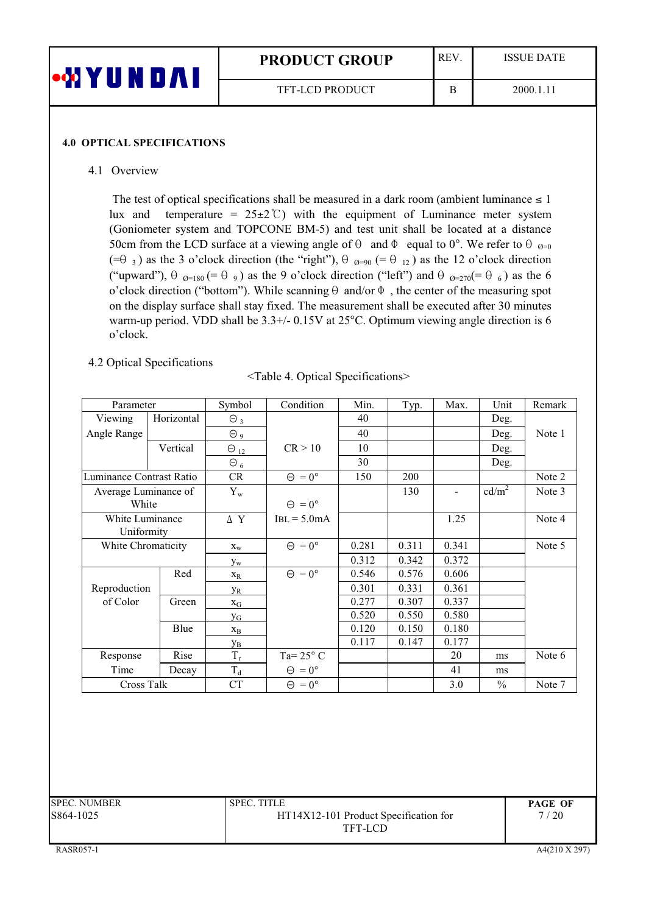| <b>ON YY UN</b> | <b>REV</b><br><b>PRODUCT GROUP</b> |   | <b>ISSUE DATE</b> |
|-----------------|------------------------------------|---|-------------------|
|                 | <b>TFT-LCD PRODUCT</b>             | Ħ | 2000.1.11         |

#### **4.0 OPTICAL SPECIFICATIONS**

#### 4.1 Overview

The test of optical specifications shall be measured in a dark room (ambient luminance  $\leq 1$ ) temperature =  $25\pm2$ °C) with the equipment of Luminance meter system lux and (Goniometer system and TOPCONE BM-5) and test unit shall be located at a distance 50cm from the LCD surface at a viewing angle of  $\theta$  and  $\Phi$  equal to 0°. We refer to  $\theta$  <sub>0=0</sub>  $(\equiv \theta_3)$  as the 3 o'clock direction (the "right"),  $\theta_{\theta=90}$  (=  $\theta_{12}$ ) as the 12 o'clock direction ("upward"),  $\theta_{\theta=180}$  (=  $\theta_{9}$ ) as the 9 o'clock direction ("left") and  $\theta_{\theta=270}$ (=  $\theta_{6}$ ) as the 6 o'clock direction ("bottom"). While scanning  $\theta$  and/or  $\Phi$ , the center of the measuring spot on the display surface shall stay fixed. The measurement shall be executed after 30 minutes warm-up period. VDD shall be 3.3+/- 0.15V at 25°C. Optimum viewing angle direction is 6 o'clock.

## 4.2 Optical Specifications

| <table 4.="" optical="" specifications=""></table> |  |  |  |  |
|----------------------------------------------------|--|--|--|--|
|----------------------------------------------------|--|--|--|--|

| Parameter                     |            | Symbol                    | Condition            | Min.  | Typ.  | Max.           | Unit              | Remark |
|-------------------------------|------------|---------------------------|----------------------|-------|-------|----------------|-------------------|--------|
| Viewing                       | Horizontal | $\Theta_3$                |                      | 40    |       |                | Deg.              |        |
| Angle Range                   |            | $\Theta$ 9                |                      | 40    |       |                | Deg.              | Note 1 |
|                               | Vertical   | $\Theta_{12}$             | CR > 10              | 10    |       |                | Deg.              |        |
|                               |            | $\Theta_6$                |                      | 30    |       |                | Deg.              |        |
| Luminance Contrast Ratio      |            | CR                        | $\Theta = 0^{\circ}$ | 150   | 200   |                |                   | Note 2 |
| Average Luminance of<br>White |            | $Y_{w}$                   | $\Theta = 0^{\circ}$ |       | 130   | $\blacksquare$ | cd/m <sup>2</sup> | Note 3 |
| White Luminance<br>Uniformity |            | $\Delta$ Y                | $IBL = 5.0mA$        |       |       | 1.25           |                   | Note 4 |
| White Chromaticity            |            | $X_{W}$                   | $\Theta = 0^{\circ}$ | 0.281 | 0.311 | 0.341          |                   | Note 5 |
|                               |            | $y_{w}$                   |                      | 0.312 | 0.342 | 0.372          |                   |        |
|                               | Red        | $X_R$                     | $\Theta = 0^{\circ}$ | 0.546 | 0.576 | 0.606          |                   |        |
| Reproduction                  |            | <b>y</b> <sub>R</sub>     |                      | 0.301 | 0.331 | 0.361          |                   |        |
| of Color                      | Green      | $\mathbf{X}_{\mathbf{G}}$ |                      | 0.277 | 0.307 | 0.337          |                   |        |
|                               |            | $y_G$                     |                      | 0.520 | 0.550 | 0.580          |                   |        |
|                               | Blue       | $\mathbf{x}_{\text{B}}$   |                      | 0.120 | 0.150 | 0.180          |                   |        |
|                               |            | Ув                        |                      | 0.117 | 0.147 | 0.177          |                   |        |
| Response                      | Rise       | $\rm T_r$                 | Ta= $25^{\circ}$ C   |       |       | 20             | ms                | Note 6 |
| Time                          | Decay      | $\rm T_d$                 | $\Theta = 0^{\circ}$ |       |       | 41             | ms                |        |
| Cross Talk                    |            | CT                        | $\Theta = 0^{\circ}$ |       |       | 3.0            | $\frac{0}{0}$     | Note 7 |
|                               |            |                           |                      |       |       |                |                   |        |

| SPEC. NUMBER | <b>SPEC. TITLE</b>                    | <b>PAGE OF</b> |
|--------------|---------------------------------------|----------------|
| S864-1025    | HT14X12-101 Product Specification for | 7/20           |
|              | TFT-LCD                               |                |
|              |                                       |                |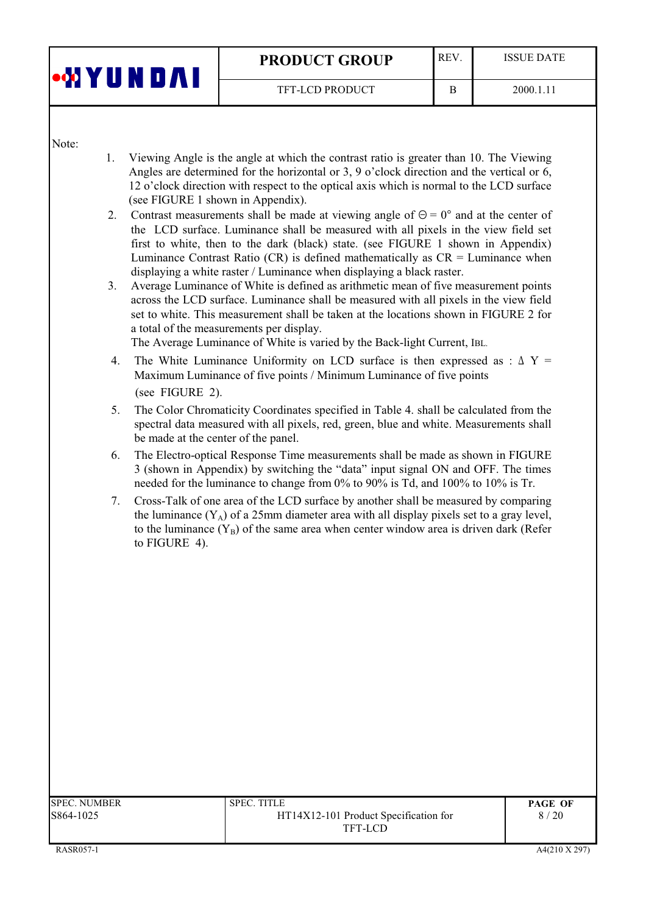| •WYUNDAI | <b>REV</b><br><b>PRODUCT GROUP</b> |  | <b>ISSUE DATE</b> |
|----------|------------------------------------|--|-------------------|
|          | <b>TFT-LCD PRODUCT</b>             |  | 2000.1.11         |

Note:

- $1<sub>1</sub>$ Viewing Angle is the angle at which the contrast ratio is greater than 10. The Viewing Angles are determined for the horizontal or 3, 9 o'clock direction and the vertical or 6, 12 o'clock direction with respect to the optical axis which is normal to the LCD surface (see FIGURE 1 shown in Appendix).
- 2. Contrast measurements shall be made at viewing angle of  $\Theta = 0^{\circ}$  and at the center of the LCD surface. Luminance shall be measured with all pixels in the view field set first to white, then to the dark (black) state. (see FIGURE 1 shown in Appendix) Luminance Contrast Ratio (CR) is defined mathematically as  $CR =$  Luminance when displaying a white raster / Luminance when displaying a black raster.
- $3<sup>1</sup>$ Average Luminance of White is defined as arithmetic mean of five measurement points across the LCD surface. Luminance shall be measured with all pixels in the view field set to white. This measurement shall be taken at the locations shown in FIGURE 2 for a total of the measurements per display.

The Average Luminance of White is varied by the Back-light Current, IBL.

- 4. The White Luminance Uniformity on LCD surface is then expressed as :  $\Delta Y =$ Maximum Luminance of five points / Minimum Luminance of five points (see FIGURE 2).
- The Color Chromaticity Coordinates specified in Table 4. shall be calculated from the  $5.$ spectral data measured with all pixels, red, green, blue and white. Measurements shall be made at the center of the panel.
- 6. The Electro-optical Response Time measurements shall be made as shown in FIGURE 3 (shown in Appendix) by switching the "data" input signal ON and OFF. The times needed for the luminance to change from 0% to 90% is Td, and 100% to 10% is Tr.
- Cross-Talk of one area of the LCD surface by another shall be measured by comparing 7. the luminance  $(Y_A)$  of a 25mm diameter area with all display pixels set to a gray level, to the luminance  $(Y_R)$  of the same area when center window area is driven dark (Refer to FIGURE 4).

| SPEC. NUMBER | <b>SPEC. TITLE</b>                    | <b>PAGE OF</b> |
|--------------|---------------------------------------|----------------|
| 5864-1025    | HT14X12-101 Product Specification for | 8/20           |
|              | TFT-LCD                               |                |
|              |                                       |                |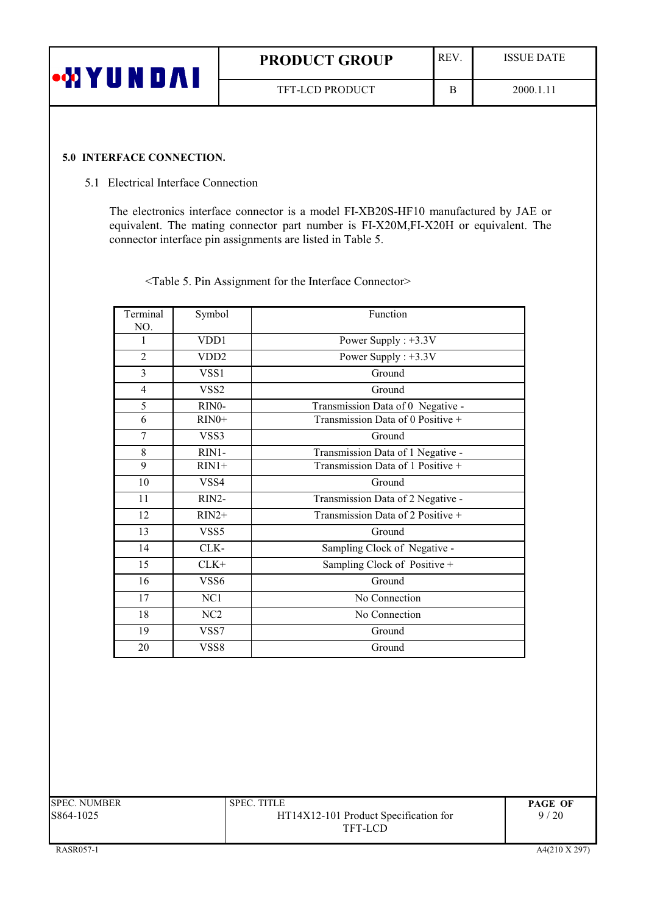| •MYUNDAI | <b>PRODUCT GROUP</b>   | <b>REV</b> | <b>ISSUE DATE</b> |
|----------|------------------------|------------|-------------------|
|          | <b>TFT-LCD PRODUCT</b> |            | 2000.1.11         |

#### 5.0 INTERFACE CONNECTION.

#### 5.1 Electrical Interface Connection

The electronics interface connector is a model FI-XB20S-HF10 manufactured by JAE or equivalent. The mating connector part number is FI-X20M,FI-X20H or equivalent. The connector interface pin assignments are listed in Table 5.

<Table 5. Pin Assignment for the Interface Connector>

| Terminal<br>NO. | Symbol             | Function                          |
|-----------------|--------------------|-----------------------------------|
| 1               | VDD1               | Power Supply : $+3.3V$            |
| $\overline{2}$  | VDD <sub>2</sub>   | Power Supply : $+3.3V$            |
| 3               | VSS1               | Ground                            |
| 4               | VSS <sub>2</sub>   | Ground                            |
| 5               | RIN <sub>0</sub> - | Transmission Data of 0 Negative - |
| 6               | $RIN0+$            | Transmission Data of 0 Positive + |
| 7               | VSS3               | Ground                            |
| 8               | RIN1-              | Transmission Data of 1 Negative - |
| 9               | $RIN1+$            | Transmission Data of 1 Positive + |
| 10              | VSS4               | Ground                            |
| 11              | RIN2-              | Transmission Data of 2 Negative - |
| 12              | $RIN2+$            | Transmission Data of 2 Positive + |
| 13              | VSS5               | Ground                            |
| 14              | CLK-               | Sampling Clock of Negative -      |
| 15              | $CLK+$             | Sampling Clock of Positive +      |
| 16              | VSS6               | Ground                            |
| 17              | NC1                | No Connection                     |
| 18              | NC <sub>2</sub>    | No Connection                     |
| 19              | VSS7               | Ground                            |
| 20              | VSS8               | Ground                            |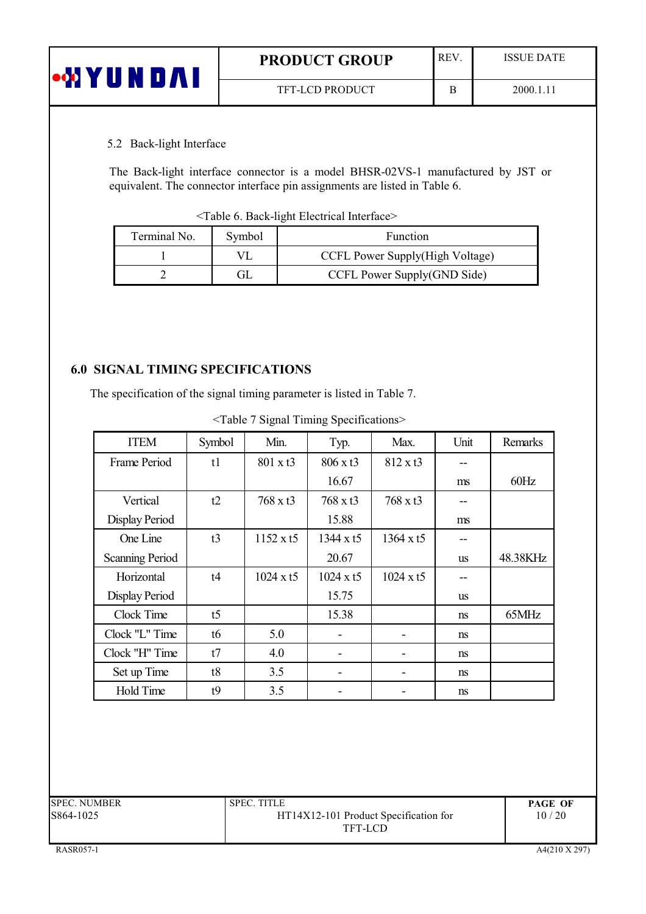| <b>MYU</b> | <b>REV</b><br><b>PRODUCT GROUP</b> |  | ISSUE DATE |
|------------|------------------------------------|--|------------|
|            | <b>TFT-LCD PRODUCT</b>             |  | 2000.1.11  |

#### 5.2 Back-light Interface

The Back-light interface connector is a model BHSR-02VS-1 manufactured by JST or equivalent. The connector interface pin assignments are listed in Table 6.

<Table 6. Back-light Electrical Interface>

| Terminal No. | Symbol | Function                        |  |  |
|--------------|--------|---------------------------------|--|--|
|              |        | CCFL Power Supply(High Voltage) |  |  |
|              |        | CCFL Power Supply(GND Side)     |  |  |

# **6.0 SIGNAL TIMING SPECIFICATIONS**

The specification of the signal timing parameter is listed in Table 7.

| <b>ITEM</b>            | Symbol | Min.             | Typ.             | Max.             | Unit          | Remarks  |
|------------------------|--------|------------------|------------------|------------------|---------------|----------|
| Frame Period           | t1     | 801 x t3         | 806 x t3         | $812 \times t3$  |               |          |
|                        |        |                  | 16.67            |                  | ms            | 60Hz     |
| Vertical               | t2     | 768 x t3         | 768 x t3         | 768 x t3         |               |          |
| Display Period         |        |                  | 15.88            |                  | ms            |          |
| One Line               | t3     | $1152 \times t5$ | 1344 x t5        | 1364 x t5        |               |          |
| <b>Scanning Period</b> |        |                  | 20.67            |                  | us            | 48.38KHz |
| Horizontal             | t4     | $1024 \times t5$ | $1024 \times t5$ | $1024 \times t5$ |               |          |
| Display Period         |        |                  | 15.75            |                  | us            |          |
| Clock Time             | t5     |                  | 15.38            |                  | ns            | 65MHz    |
| Clock "L" Time         | t6     | 5.0              |                  |                  | ns            |          |
| Clock "H" Time         | t7     | 4.0              |                  |                  | <sub>ns</sub> |          |
| Set up Time            | t8     | 3.5              |                  |                  | ns            |          |
| <b>Hold Time</b>       | t9     | 3.5              |                  |                  | ns            |          |

| <b>SPEC. NUMBER</b> | <b>SPEC. TITLE</b>                    | <b>PAGE OF</b> |
|---------------------|---------------------------------------|----------------|
| S864-1025           | HT14X12-101 Product Specification for | 10/20          |
|                     | TFT-LCD                               |                |
|                     |                                       |                |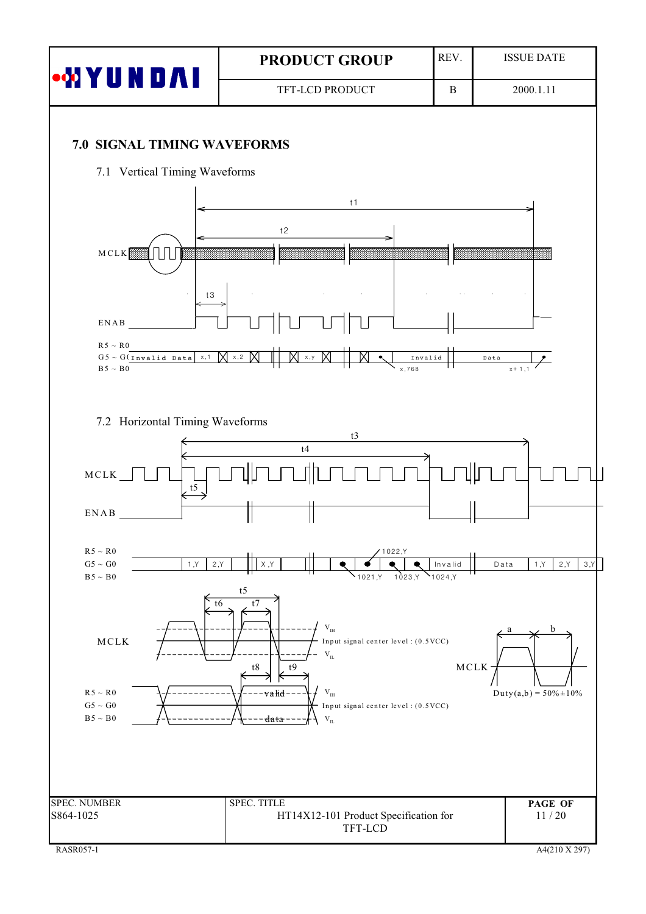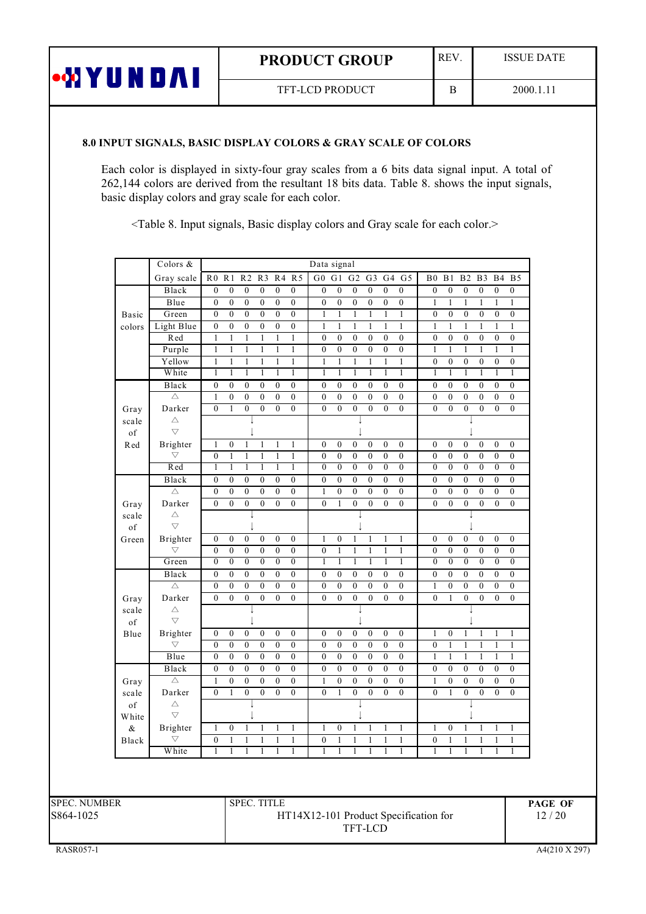| <b>PRODUCT GROUP</b> |
|----------------------|
|----------------------|

REV.

 $\, {\bf B}$ 

# TFT-LCD PRODUCT

## 8.0 INPUT SIGNALS, BASIC DISPLAY COLORS & GRAY SCALE OF COLORS

**WYUNDAI** 

Each color is displayed in sixty-four gray scales from a 6 bits data signal input. A total of 262,144 colors are derived from the resultant 18 bits data. Table 8. shows the input signals, basic display colors and gray scale for each color.

<Table 8. Input signals, Basic display colors and Gray scale for each color.>

|                             | Colors &                       |                                                                          |                                      |                                      |                                      |                                    | Data signal           |                                |                         |                   |                         |                         |                                    |                                    |                                    |                                    |                                    |                                      |
|-----------------------------|--------------------------------|--------------------------------------------------------------------------|--------------------------------------|--------------------------------------|--------------------------------------|------------------------------------|-----------------------|--------------------------------|-------------------------|-------------------|-------------------------|-------------------------|------------------------------------|------------------------------------|------------------------------------|------------------------------------|------------------------------------|--------------------------------------|
|                             | Gray scale                     | R <sub>0</sub> R <sub>1</sub>                                            | R <sub>2</sub>                       |                                      |                                      | R3 R4 R5                           | $G0$ $G1$             |                                | G <sub>2</sub>          |                   |                         | G3 G4 G5                | B <sub>0</sub>                     | B1                                 | B2                                 | B <sub>3</sub>                     | <b>B4</b>                          | B <sub>5</sub>                       |
|                             | Black                          | $\boldsymbol{0}$<br>$\boldsymbol{0}$                                     | $\boldsymbol{0}$                     | $\boldsymbol{0}$                     | $\boldsymbol{0}$                     | $\boldsymbol{0}$                   | $\boldsymbol{0}$      | $\overline{0}$                 | $\boldsymbol{0}$        | $\boldsymbol{0}$  | $\boldsymbol{0}$        | $\overline{0}$          | $\boldsymbol{0}$                   | $\boldsymbol{0}$                   | $\boldsymbol{0}$                   | $\boldsymbol{0}$                   | $\boldsymbol{0}$                   | $\boldsymbol{0}$                     |
|                             | Blue                           | $\boldsymbol{0}$<br>$\boldsymbol{0}$                                     | $\boldsymbol{0}$                     | $\boldsymbol{0}$                     | $\boldsymbol{0}$                     | $\boldsymbol{0}$                   | $\boldsymbol{0}$      | $\boldsymbol{0}$               | $\overline{0}$          | $\boldsymbol{0}$  | $\boldsymbol{0}$        | $\overline{0}$          | $\,1\,$                            | $\,1\,$                            | $\mathbf{1}$                       | $\mathbf{1}$                       | $\,1$                              | $\mathbf{1}$                         |
| Basic                       | Green                          | $\boldsymbol{0}$<br>$\boldsymbol{0}$                                     | $\overline{0}$                       | $\boldsymbol{0}$                     | $\overline{0}$                       | $\boldsymbol{0}$                   | $\mathbf{1}$          | $\mathbf{1}$                   | $\mathbf{1}$            | $\mathbf{1}$      | $\mathbf{1}$            | $\mathbf{1}$            | $\boldsymbol{0}$                   | $\boldsymbol{0}$                   | $\boldsymbol{0}$                   | $\boldsymbol{0}$                   | $\boldsymbol{0}$                   | $\boldsymbol{0}$                     |
| colors                      | Light Blue                     | $\boldsymbol{0}$<br>$\boldsymbol{0}$                                     | $\boldsymbol{0}$                     | $\boldsymbol{0}$                     | $\overline{0}$                       | $\boldsymbol{0}$                   | $\mathbf{1}$          | $\mathbf{1}$                   | $\mathbf{1}$            | $\mathbf{1}$      | $\mathbf{1}$            | $\mathbf{1}$            | $\mathbf{1}$                       | $\mathbf{1}$                       | $\mathbf{1}$                       | $\mathbf{1}$                       | $\mathbf{1}$                       | $\mathbf{1}$                         |
|                             | Red                            | $\,1$<br>$\mathbf{1}$                                                    | $\,1$                                | $\mathbf{1}$                         | $\,1$                                | $\,1$                              | $\boldsymbol{0}$      | $\boldsymbol{0}$               | $\boldsymbol{0}$        | $\boldsymbol{0}$  | $\boldsymbol{0}$        | $\boldsymbol{0}$        | $\boldsymbol{0}$                   | $\boldsymbol{0}$                   | $\boldsymbol{0}$                   | $\boldsymbol{0}$                   | $\boldsymbol{0}$                   | $\boldsymbol{0}$                     |
|                             | Purple                         | $\mathbf{1}$<br>$\mathbf{1}$                                             | $\mathbf{1}$                         | $\mathbf{1}$                         | $\mathbf{1}$                         | $\mathbf{1}$                       | $\boldsymbol{0}$      | $\boldsymbol{0}$               | $\boldsymbol{0}$        | $\overline{0}$    | $\boldsymbol{0}$        | $\boldsymbol{0}$        | $\mathbf{1}$                       | $\mathbf{1}$                       | $\mathbf{1}$                       | $\mathbf{1}$                       | $\mathbf{1}$                       | $\mathbf{1}$                         |
|                             | Yellow                         | $\mathbf{1}$<br>$\mathbf{1}$                                             | $\mathbf{1}$                         | $\mathbf{1}$                         | $\mathbf{1}$                         | $\mathbf{1}$                       | $\mathbf{1}$          | $\mathbf{1}$                   | $\mathbf{1}$            | $\mathbf{1}$      | $\mathbf{1}$            | $\mathbf{1}$            | $\boldsymbol{0}$                   | $\boldsymbol{0}$                   | $\boldsymbol{0}$                   | $\boldsymbol{0}$                   | $\boldsymbol{0}$                   | $\boldsymbol{0}$                     |
|                             | White                          | 1<br>1                                                                   | 1                                    | 1                                    | 1                                    | 1                                  | 1                     | 1                              | 1                       | 1                 | 1                       | 1                       | $\overline{1}$                     | $\overline{1}$                     | $\overline{1}$                     | $\overline{1}$                     | $\overline{1}$                     | 1                                    |
|                             | Black                          | $\overline{0}$<br>$\boldsymbol{0}$                                       | $\boldsymbol{0}$                     | $\boldsymbol{0}$                     | $\overline{0}$                       | $\boldsymbol{0}$                   | $\boldsymbol{0}$      | $\boldsymbol{0}$               | $\mathbf{0}$            | $\boldsymbol{0}$  | $\boldsymbol{0}$        | $\boldsymbol{0}$        | $\boldsymbol{0}$                   | $\boldsymbol{0}$                   | $\boldsymbol{0}$                   | $\boldsymbol{0}$                   | $\boldsymbol{0}$                   | $\overline{0}$                       |
|                             | $\triangle$                    | $\,1$<br>$\boldsymbol{0}$                                                | $\boldsymbol{0}$                     | $\boldsymbol{0}$                     | $\boldsymbol{0}$                     | $\boldsymbol{0}$                   | $\mathbf{0}$          | $\boldsymbol{0}$               | $\mathbf{0}$            | $\boldsymbol{0}$  | $\boldsymbol{0}$        | $\boldsymbol{0}$        | $\mathbf{0}$                       | $\boldsymbol{0}$                   | $\boldsymbol{0}$                   | $\overline{0}$                     | $\boldsymbol{0}$                   | $\boldsymbol{0}$                     |
| Gray                        | Darker                         | $\boldsymbol{0}$<br>$\mathbf{1}$                                         | $\boldsymbol{0}$                     | $\boldsymbol{0}$                     | $\boldsymbol{0}$                     | $\boldsymbol{0}$                   | $\overline{0}$        | $\boldsymbol{0}$               | $\boldsymbol{0}$        | $\boldsymbol{0}$  | $\mathbf{0}$            | $\mathbf{0}$            | $\mathbf{0}$                       | $\boldsymbol{0}$                   | $\boldsymbol{0}$                   | $\boldsymbol{0}$                   | $\mathbf{0}$                       | $\overline{0}$                       |
| scale                       | $\triangle$                    |                                                                          |                                      |                                      |                                      |                                    |                       |                                |                         |                   |                         |                         |                                    |                                    |                                    |                                    |                                    |                                      |
| $_{\mathrm{of}}$            | $\overline{\vee}$              |                                                                          |                                      |                                      |                                      |                                    |                       |                                |                         |                   |                         |                         |                                    |                                    |                                    |                                    |                                    |                                      |
| $\mathop{\rm Red}\nolimits$ | Brighter                       | $\mathbf{1}$<br>$\boldsymbol{0}$                                         | $\mathbf{1}$                         | $\mathbf{1}$                         | $\mathbf{1}$                         | $\mathbf{1}$                       | $\boldsymbol{0}$      | $\boldsymbol{0}$               | $\boldsymbol{0}$        | $\boldsymbol{0}$  | $\boldsymbol{0}$        | $\boldsymbol{0}$        | $\boldsymbol{0}$                   | $\boldsymbol{0}$                   | $\boldsymbol{0}$                   | $\boldsymbol{0}$                   | $\boldsymbol{0}$                   | $\boldsymbol{0}$                     |
|                             | $\bigtriangledown$             | $\boldsymbol{0}$<br>$\mathbf{1}$                                         | $\,1$                                | $\mathbf{1}$                         | $\,1$                                | $\mathbf{1}$                       | $\boldsymbol{0}$      | $\boldsymbol{0}$               | $\boldsymbol{0}$        | $\boldsymbol{0}$  | $\boldsymbol{0}$        | $\boldsymbol{0}$        | $\boldsymbol{0}$                   | $\boldsymbol{0}$                   | $\boldsymbol{0}$                   | $\boldsymbol{0}$                   | $\boldsymbol{0}$                   | $\boldsymbol{0}$                     |
|                             | Red                            | $\overline{1}$<br>$\overline{1}$                                         | $\overline{1}$                       | $\overline{1}$                       | $\overline{1}$                       | $\overline{1}$                     | $\overline{0}$        | $\overline{0}$                 | $\overline{0}$          | $\overline{0}$    | $\overline{0}$          | $\overline{0}$          | $\overline{0}$                     | $\overline{0}$                     | $\overline{0}$                     | $\overline{0}$                     | $\overline{0}$                     | $\overline{0}$                       |
|                             | Black                          | $\boldsymbol{0}$<br>$\boldsymbol{0}$                                     | $\boldsymbol{0}$                     | $\boldsymbol{0}$                     | $\boldsymbol{0}$                     | $\boldsymbol{0}$                   | $\boldsymbol{0}$      | $\boldsymbol{0}$               | $\boldsymbol{0}$        | $\boldsymbol{0}$  | $\boldsymbol{0}$        | $\boldsymbol{0}$        | $\boldsymbol{0}$                   | $\boldsymbol{0}$                   | $\boldsymbol{0}$                   | $\overline{0}$                     | $\boldsymbol{0}$                   | $\overline{0}$                       |
|                             | $\triangle$                    | $\overline{0}$<br>$\boldsymbol{0}$                                       | $\boldsymbol{0}$                     | $\boldsymbol{0}$                     | $\overline{0}$                       | $\boldsymbol{0}$                   | $\mathbf{1}$          | $\boldsymbol{0}$               | $\boldsymbol{0}$        | $\boldsymbol{0}$  | $\boldsymbol{0}$        | $\overline{0}$          | $\boldsymbol{0}$                   | $\boldsymbol{0}$                   | $\boldsymbol{0}$                   | $\boldsymbol{0}$                   | $\overline{0}$                     | $\overline{0}$                       |
| Gray                        | Darker                         | $\overline{0}$<br>$\boldsymbol{0}$                                       | $\overline{0}$                       | $\boldsymbol{0}$                     | $\overline{0}$                       | $\boldsymbol{0}$                   | $\boldsymbol{0}$      | $\mathbf{1}$                   | $\overline{0}$          | $\boldsymbol{0}$  | $\boldsymbol{0}$        | $\overline{0}$          | $\overline{0}$                     | $\boldsymbol{0}$                   | $\overline{0}$                     | $\boldsymbol{0}$                   | $\overline{0}$                     | $\overline{0}$                       |
| scale                       | $\triangle$<br>$\triangledown$ |                                                                          | $\overline{\phantom{a}}$             |                                      |                                      |                                    |                       |                                | $\perp$                 |                   |                         |                         |                                    |                                    | $\overline{\phantom{a}}$           |                                    |                                    |                                      |
| $_{\mathrm{of}}$            |                                |                                                                          |                                      |                                      |                                      |                                    |                       |                                |                         |                   |                         |                         |                                    |                                    |                                    |                                    |                                    |                                      |
| Green                       | Brighter<br>$\bigtriangledown$ | $\boldsymbol{0}$<br>$\boldsymbol{0}$                                     | $\boldsymbol{0}$                     | $\boldsymbol{0}$                     | $\boldsymbol{0}$                     | $\boldsymbol{0}$                   | $\mathbf{1}$          | $\overline{0}$                 | $\mathbf{1}$            | $\mathbf{1}$      | $\mathbf{1}$            | $\mathbf{1}$            | $\boldsymbol{0}$                   | $\overline{0}$                     | $\boldsymbol{0}$                   | $\overline{0}$                     | $\boldsymbol{0}$                   | $\boldsymbol{0}$                     |
|                             | Green                          | $\boldsymbol{0}$<br>$\boldsymbol{0}$<br>$\overline{0}$<br>$\overline{0}$ | $\boldsymbol{0}$<br>$\boldsymbol{0}$ | $\boldsymbol{0}$<br>$\overline{0}$   | $\boldsymbol{0}$<br>$\overline{0}$   | $\boldsymbol{0}$<br>$\overline{0}$ | $\boldsymbol{0}$<br>1 | $\mathbf{1}$<br>$\overline{1}$ | $\,1$<br>$\overline{1}$ | $\mathbf{1}$<br>1 | $\,1$<br>$\overline{1}$ | $\,1$<br>$\overline{1}$ | $\boldsymbol{0}$<br>$\overline{0}$ | $\boldsymbol{0}$<br>$\overline{0}$ | $\boldsymbol{0}$<br>$\overline{0}$ | $\boldsymbol{0}$<br>$\overline{0}$ | $\boldsymbol{0}$<br>$\overline{0}$ | $\boldsymbol{0}$<br>$\boldsymbol{0}$ |
|                             |                                | $\boldsymbol{0}$<br>$\boldsymbol{0}$                                     | $\boldsymbol{0}$                     |                                      |                                      | $\boldsymbol{0}$                   | $\boldsymbol{0}$      | $\boldsymbol{0}$               | $\boldsymbol{0}$        | $\boldsymbol{0}$  | $\boldsymbol{0}$        | $\boldsymbol{0}$        | $\boldsymbol{0}$                   | $\boldsymbol{0}$                   | $\boldsymbol{0}$                   | $\boldsymbol{0}$                   | $\boldsymbol{0}$                   | $\boldsymbol{0}$                     |
|                             | Black<br>$\triangle$           | $\boldsymbol{0}$<br>$\mathbf{0}$                                         | $\boldsymbol{0}$                     | $\boldsymbol{0}$<br>$\boldsymbol{0}$ | $\boldsymbol{0}$<br>$\boldsymbol{0}$ | $\boldsymbol{0}$                   | $\mathbf{0}$          | $\boldsymbol{0}$               | $\mathbf{0}$            | $\boldsymbol{0}$  | $\boldsymbol{0}$        | $\boldsymbol{0}$        | $\mathbf{1}$                       | $\boldsymbol{0}$                   | $\overline{0}$                     | $\boldsymbol{0}$                   | $\overline{0}$                     | $\boldsymbol{0}$                     |
|                             | Darker                         | $\boldsymbol{0}$<br>$\boldsymbol{0}$                                     | $\boldsymbol{0}$                     | $\boldsymbol{0}$                     | $\boldsymbol{0}$                     | $\boldsymbol{0}$                   | $\overline{0}$        | $\boldsymbol{0}$               | $\overline{0}$          | $\overline{0}$    | $\boldsymbol{0}$        | $\boldsymbol{0}$        | $\boldsymbol{0}$                   | $\mathbf{1}$                       | $\overline{0}$                     | $\overline{0}$                     | $\overline{0}$                     | $\boldsymbol{0}$                     |
| Gray<br>scale               | $\triangle$                    |                                                                          |                                      |                                      |                                      |                                    |                       |                                |                         |                   |                         |                         |                                    |                                    |                                    |                                    |                                    |                                      |
| of                          | $\overline{\nabla}$            |                                                                          |                                      |                                      |                                      |                                    |                       |                                |                         |                   |                         |                         |                                    |                                    |                                    |                                    |                                    |                                      |
| Blue                        | Brighter                       | $\boldsymbol{0}$<br>$\boldsymbol{0}$                                     | $\boldsymbol{0}$                     | $\boldsymbol{0}$                     | $\boldsymbol{0}$                     | $\boldsymbol{0}$                   | $\boldsymbol{0}$      | $\boldsymbol{0}$               | $\boldsymbol{0}$        | $\boldsymbol{0}$  | $\boldsymbol{0}$        | $\boldsymbol{0}$        | $\mathbf{1}$                       | $\boldsymbol{0}$                   | $\mathbf{1}$                       | $\mathbf{1}$                       | $\mathbf{1}$                       | $\mathbf{1}$                         |
|                             | $\bigtriangledown$             | $\boldsymbol{0}$<br>$\boldsymbol{0}$                                     | $\boldsymbol{0}$                     | $\boldsymbol{0}$                     | $\boldsymbol{0}$                     | $\boldsymbol{0}$                   | $\boldsymbol{0}$      | $\bf{0}$                       | $\boldsymbol{0}$        | $\boldsymbol{0}$  | $\boldsymbol{0}$        | $\boldsymbol{0}$        | $\boldsymbol{0}$                   | $\mathbf{1}$                       | $\mathbf{1}$                       | $\mathbf{1}$                       | $\mathbf{1}$                       | $\mathbf{1}$                         |
|                             | Blue                           | $\overline{0}$<br>$\mathbf{0}$                                           | $\overline{0}$                       | $\boldsymbol{0}$                     | $\overline{0}$                       | $\boldsymbol{0}$                   | $\mathbf{0}$          | $\mathbf{0}$                   | $\overline{0}$          | $\overline{0}$    | $\overline{0}$          | $\overline{0}$          | 1                                  | 1                                  | $\mathbf{1}$                       | 1                                  | T                                  | $\mathbf{1}$                         |
|                             | Black                          | $\overline{0}$<br>$\overline{0}$                                         | $\overline{0}$                       | $\boldsymbol{0}$                     | $\overline{0}$                       | $\overline{0}$                     | $\boldsymbol{0}$      | $\boldsymbol{0}$               | $\boldsymbol{0}$        | $\overline{0}$    | $\boldsymbol{0}$        | $\overline{0}$          | $\boldsymbol{0}$                   | $\bf{0}$                           | $\overline{0}$                     | $\overline{0}$                     | $\boldsymbol{0}$                   | $\boldsymbol{0}$                     |
| Gray                        | $\triangle$                    | $\mathbf{1}$<br>$\boldsymbol{0}$                                         | $\boldsymbol{0}$                     | $\boldsymbol{0}$                     | $\boldsymbol{0}$                     | $\boldsymbol{0}$                   | $\mathbf{1}$          | $\boldsymbol{0}$               | $\boldsymbol{0}$        | $\overline{0}$    | $\boldsymbol{0}$        | $\overline{0}$          | $\mathbf{1}$                       | $\boldsymbol{0}$                   | $\boldsymbol{0}$                   | $\overline{0}$                     | $\boldsymbol{0}$                   | $\overline{0}$                       |
| scale                       | Darker                         | $\boldsymbol{0}$<br>$\mathbf{1}$                                         | $\boldsymbol{0}$                     | $\boldsymbol{0}$                     | $\boldsymbol{0}$                     | $\boldsymbol{0}$                   | $\overline{0}$        | $\mathbf{1}$                   | $\boldsymbol{0}$        | $\boldsymbol{0}$  | $\boldsymbol{0}$        | $\boldsymbol{0}$        | $\overline{0}$                     | $\mathbf{1}$                       | $\boldsymbol{0}$                   | $\boldsymbol{0}$                   | $\boldsymbol{0}$                   | $\boldsymbol{0}$                     |
| $_{\mathrm{of}}$            | $\triangle$                    |                                                                          |                                      |                                      |                                      |                                    |                       |                                |                         |                   |                         |                         |                                    |                                    |                                    |                                    |                                    |                                      |
| White                       | $\overline{\nabla}$            |                                                                          |                                      |                                      |                                      |                                    |                       |                                |                         |                   |                         |                         |                                    |                                    |                                    |                                    |                                    |                                      |
| &                           | Brighter                       | $\boldsymbol{0}$<br>$\mathbf{1}$                                         | $\mathbf{1}$                         | $\mathbf{1}$                         | $\mathbf{1}$                         | $\mathbf{1}$                       | $\mathbf{1}$          | $\boldsymbol{0}$               | $\mathbf{1}$            | $\mathbf{1}$      | $\mathbf{1}$            | $\mathbf{1}$            | $\mathbf{1}$                       | $\boldsymbol{0}$                   | $\mathbf{1}$                       | $\mathbf{1}$                       | $\mathbf{1}$                       | $\mathbf{1}$                         |
| Black                       | $\bigtriangledown$             | $\boldsymbol{0}$<br>$\,1$                                                | $\,1$                                | $\mathbf{1}$                         | $\,1$                                | $\,1$                              | $\boldsymbol{0}$      | $\,1$                          | $\mathbf{1}$            | $\,1$             | $\mathbf{1}$            | $\,1$                   | $\boldsymbol{0}$                   | $\,1\,$                            | $\mathbf{1}$                       | $\mathbf{1}$                       | $\mathbf{1}$                       | $\,1$                                |
|                             | White                          | $\mathbf{1}$<br>$\mathbf{1}$                                             | $\mathbf{1}$                         | $\mathbf{1}$                         | $\mathbf{1}$                         | $\mathbf{1}$                       | $\mathbf{1}$          | $\mathbf{1}$                   | $\mathbf{1}$            | $\mathbf{1}$      | $\mathbf{1}$            | $\mathbf{1}$            | $\mathbf{1}$                       | $\,1$                              | $\mathbf{1}$                       | $\mathbf{1}$                       | $\mathbf{1}$                       | $\mathbf{1}$                         |

HT14X12-101 Product Specification for TFT-LCD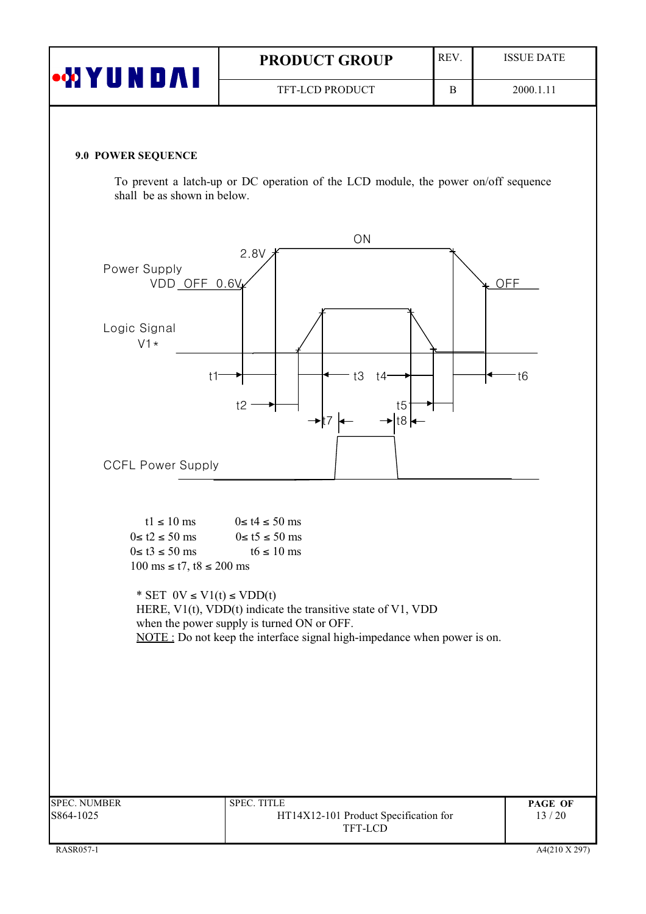| <b>WYUNDA</b> | <b>PRODUCT GROUP</b>   | <b>REV</b> | <b>ISSUE DATE</b> |
|---------------|------------------------|------------|-------------------|
|               | <b>TFT-LCD PRODUCT</b> |            | 2000.1.11         |

#### 9.0 POWER SEQUENCE

To prevent a latch-up or DC operation of the LCD module, the power on/off sequence shall be as shown in below.

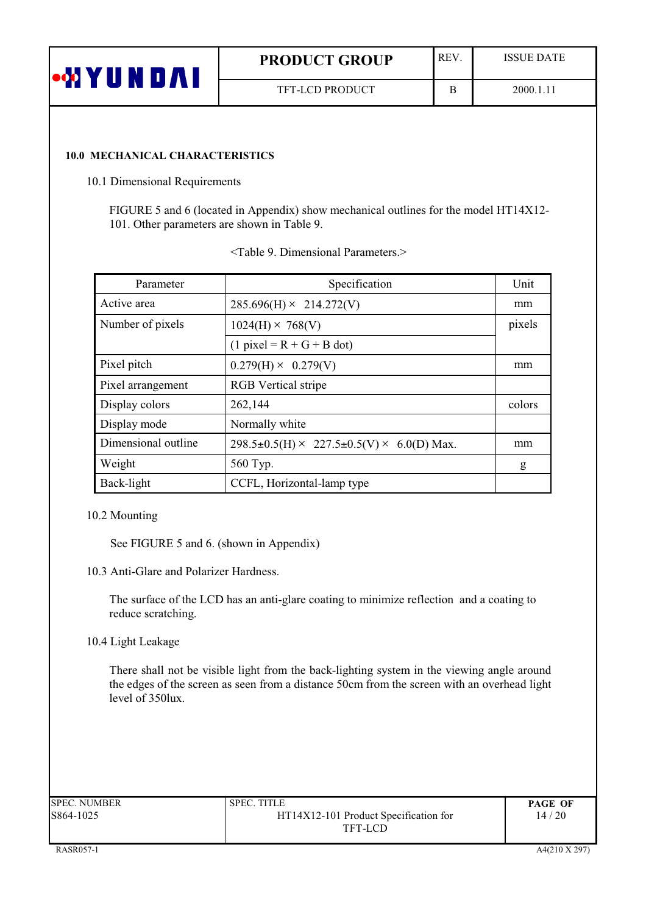| <b>MYU</b> | <b>PRODUCT GROUP</b>   | <b>REV</b> | <b>ISSUE DATE</b> |
|------------|------------------------|------------|-------------------|
|            | <b>TFT-LCD PRODUCT</b> |            | 2000.1.11         |

#### **10.0 MECHANICAL CHARACTERISTICS**

10.1 Dimensional Requirements

FIGURE 5 and 6 (located in Appendix) show mechanical outlines for the model HT14X12-101. Other parameters are shown in Table 9.

| Parameter           | Specification                                        | Unit   |
|---------------------|------------------------------------------------------|--------|
| Active area         | $285.696(H) \times 214.272(V)$                       | mm     |
| Number of pixels    | $1024(H) \times 768(V)$                              | pixels |
|                     | $(1$ pixel = R + G + B dot)                          |        |
| Pixel pitch         | $0.279(H) \times 0.279(V)$                           | mm     |
| Pixel arrangement   | <b>RGB</b> Vertical stripe                           |        |
| Display colors      | 262,144                                              | colors |
| Display mode        | Normally white                                       |        |
| Dimensional outline | $298.5\pm0.5$ (H) × 227.5 $\pm$ 0.5(V) × 6.0(D) Max. | mm     |
| Weight              | 560 Typ.                                             | g      |
| Back-light          | CCFL, Horizontal-lamp type                           |        |

| <table 9.="" dimensional="" parameters.=""></table> |  |
|-----------------------------------------------------|--|
|-----------------------------------------------------|--|

#### 10.2 Mounting

See FIGURE 5 and 6. (shown in Appendix)

10.3 Anti-Glare and Polarizer Hardness.

The surface of the LCD has an anti-glare coating to minimize reflection and a coating to reduce scratching.

10.4 Light Leakage

There shall not be visible light from the back-lighting system in the viewing angle around the edges of the screen as seen from a distance 50cm from the screen with an overhead light level of  $350$ lux.

| SPEC. NUMBER | <b>SPEC. TITLE</b>                    | <b>PAGE OF</b> |
|--------------|---------------------------------------|----------------|
| 5864-1025    | HT14X12-101 Product Specification for | 14/20          |
|              | TFT-LCD                               |                |
|              |                                       |                |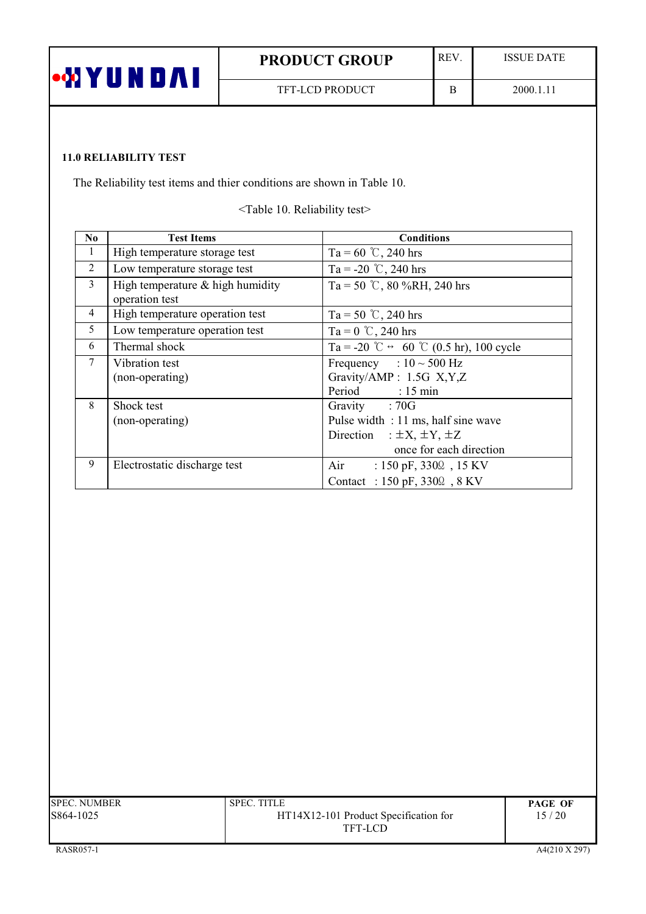| •MYU<br><b>A</b> | <b>PRODUCT GROUP</b>   | <b>REV</b> | <b>ISSUE DATE</b> |
|------------------|------------------------|------------|-------------------|
|                  | <b>TFT-LCD PRODUCT</b> |            | 2000.1.11         |

# **11.0 RELIABILITY TEST**

The Reliability test items and thier conditions are shown in Table 10.

<Table 10. Reliability test>

| N <sub>0</sub>                                            | <b>Test Items</b>               | <b>Conditions</b>                                       |  |  |  |
|-----------------------------------------------------------|---------------------------------|---------------------------------------------------------|--|--|--|
| 1                                                         | High temperature storage test   | Ta = 60 °C, 240 hrs                                     |  |  |  |
| 2                                                         | Low temperature storage test    | Ta = -20 °C, 240 hrs                                    |  |  |  |
| 3<br>High temperature $&$ high humidity<br>operation test |                                 | Ta = 50 °C, 80 %RH, 240 hrs                             |  |  |  |
| $\overline{4}$                                            | High temperature operation test | Ta = 50 °C, 240 hrs                                     |  |  |  |
| 5<br>Low temperature operation test                       |                                 | Ta = $0^{\circ}$ C, 240 hrs                             |  |  |  |
| 6                                                         | Thermal shock                   | Ta = -20 °C $\leftrightarrow$ 60 °C (0.5 hr), 100 cycle |  |  |  |
| $\tau$                                                    | Vibration test                  | Frequency : $10 \sim 500$ Hz                            |  |  |  |
|                                                           | (non-operating)                 | Gravity/AMP: 1.5G X,Y,Z                                 |  |  |  |
|                                                           |                                 | Period : 15 min                                         |  |  |  |
| 8                                                         | Shock test                      | Gravity : 70G                                           |  |  |  |
|                                                           | (non-operating)                 | Pulse width : 11 ms, half sine wave                     |  |  |  |
|                                                           |                                 | Direction : $\pm X$ , $\pm Y$ , $\pm Z$                 |  |  |  |
|                                                           |                                 | once for each direction                                 |  |  |  |
| 9                                                         | Electrostatic discharge test    | Air<br>: $150 \text{ pF}, 330\Omega, 15 \text{ KV}$     |  |  |  |
|                                                           |                                 | Contact : 150 pF, 3300, 8 KV                            |  |  |  |

| SPEC. NUMBER | <b>SPEC. TITLE</b>                    | <b>PAGE OF</b> |
|--------------|---------------------------------------|----------------|
| 3864-1025    | HT14X12-101 Product Specification for | 15 / 20        |
|              | TFT-LCD                               |                |
|              |                                       |                |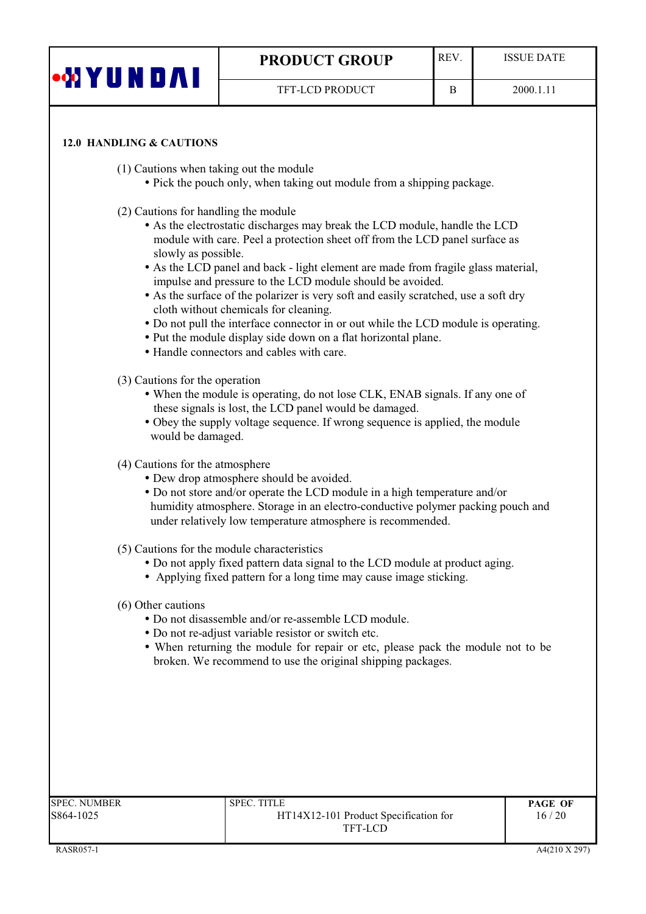| •ØYUN D∕NI                                                          | <b>PRODUCT GROUP</b>   | REV. | <b>ISSUE DATE</b> |  |
|---------------------------------------------------------------------|------------------------|------|-------------------|--|
|                                                                     | <b>TFT-LCD PRODUCT</b> | B    | 2000.1.11         |  |
|                                                                     |                        |      |                   |  |
| 12.0 HANDLING & CAUTIONS<br>(1) Cautions when taking out the module |                        |      |                   |  |

- Pick the pouch only, when taking out module from a shipping package.
- (2) Cautions for handling the module
	- As the electrostatic discharges may break the LCD module, handle the LCD module with care. Peel a protection sheet off from the LCD panel surface as slowly as possible.
	- As the LCD panel and back light element are made from fragile glass material, impulse and pressure to the LCD module should be avoided.
	- As the surface of the polarizer is very soft and easily scratched, use a soft dry cloth without chemicals for cleaning.
	- Do not pull the interface connector in or out while the LCD module is operating.
	- Put the module display side down on a flat horizontal plane.
	- Handle connectors and cables with care.
- (3) Cautions for the operation
	- When the module is operating, do not lose CLK, ENAB signals. If any one of these signals is lost, the LCD panel would be damaged.
	- Obey the supply voltage sequence. If wrong sequence is applied, the module would be damaged.
- (4) Cautions for the atmosphere
	- Dew drop atmosphere should be avoided.
	- Do not store and/or operate the LCD module in a high temperature and/or humidity atmosphere. Storage in an electro-conductive polymer packing pouch and under relatively low temperature atmosphere is recommended.
- (5) Cautions for the module characteristics
	- Do not apply fixed pattern data signal to the LCD module at product aging.
	- Applying fixed pattern for a long time may cause image sticking.
- (6) Other cautions
	- Do not disassemble and/or re-assemble LCD module.
	- Do not re-adjust variable resistor or switch etc.
	- When returning the module for repair or etc, please pack the module not to be broken. We recommend to use the original shipping packages.

| SPEC. NUMBER | <b>SPEC. TITLE</b>                    | <b>PAGE OF</b> |
|--------------|---------------------------------------|----------------|
| 8864-1025    | HT14X12-101 Product Specification for | 16/20          |
|              | TFT-LCD                               |                |
|              |                                       |                |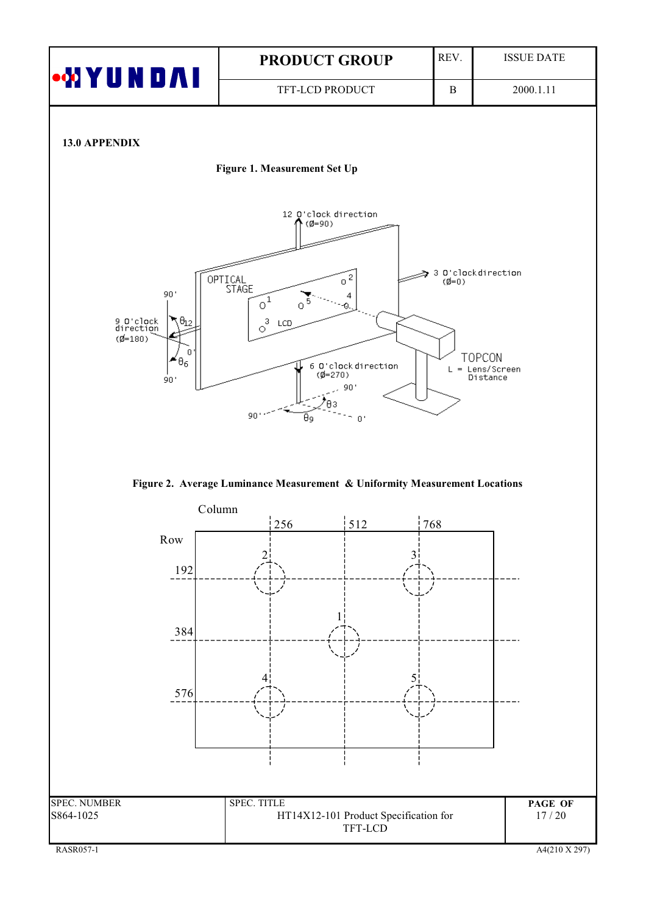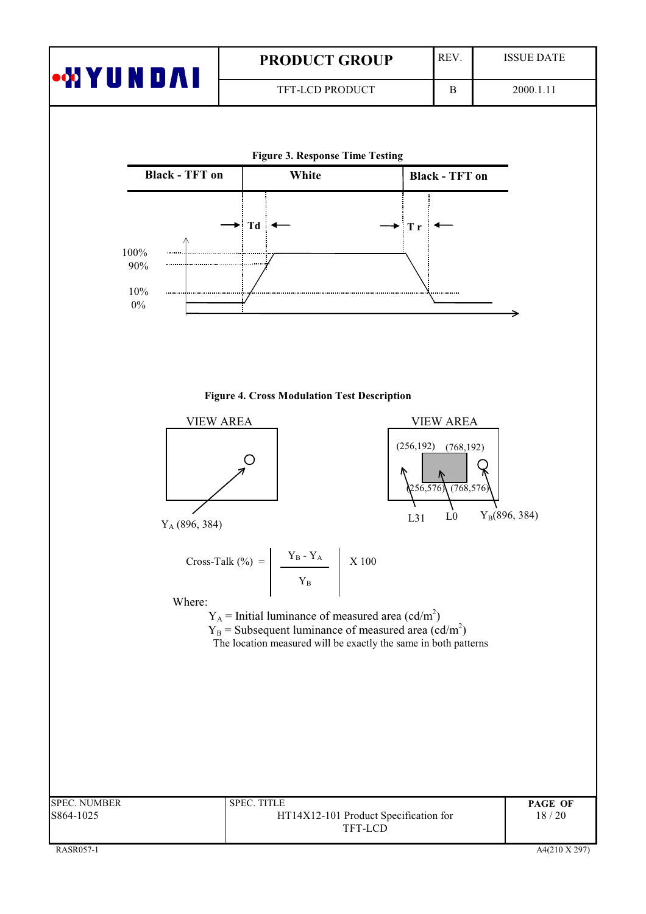| •MYUNDAI                            | <b>PRODUCT GROUP</b>                                                                                                                                                                                                                                       | REV.                                                                                           | <b>ISSUE DATE</b> |
|-------------------------------------|------------------------------------------------------------------------------------------------------------------------------------------------------------------------------------------------------------------------------------------------------------|------------------------------------------------------------------------------------------------|-------------------|
|                                     | TFT-LCD PRODUCT                                                                                                                                                                                                                                            | B                                                                                              | 2000.1.11         |
|                                     | <b>Figure 3. Response Time Testing</b>                                                                                                                                                                                                                     |                                                                                                |                   |
| <b>Black - TFT on</b>               | White                                                                                                                                                                                                                                                      | <b>Black - TFT on</b>                                                                          |                   |
| 100%<br>90%<br>10%<br>$0\%$         | $\blacktriangleright$ Td $\blacktriangleleft$                                                                                                                                                                                                              | $\blacktriangleright$ Tr                                                                       |                   |
| <b>VIEW AREA</b><br>$Y_A(896, 384)$ | <b>Figure 4. Cross Modulation Test Description</b>                                                                                                                                                                                                         | <b>VIEW AREA</b><br>(256, 192)<br>(768, 192)<br>256,576<br>(768, 576)<br>L <sub>0</sub><br>L31 | $Y_B(896, 384)$   |
| Where:                              | Cross-Talk (%) = $\frac{Y_B - Y_A}{Y_B}$ X 100<br>$Y_A$ = Initial luminance of measured area (cd/m <sup>2</sup> )<br>$Y_B$ = Subsequent luminance of measured area (cd/m <sup>2</sup> )<br>The location measured will be exactly the same in both patterns |                                                                                                |                   |
| <b>SPEC. NUMBER</b>                 | SPEC. TITLE<br>HT14X12-101 Product Specification for                                                                                                                                                                                                       |                                                                                                | PAGE OF<br>18/20  |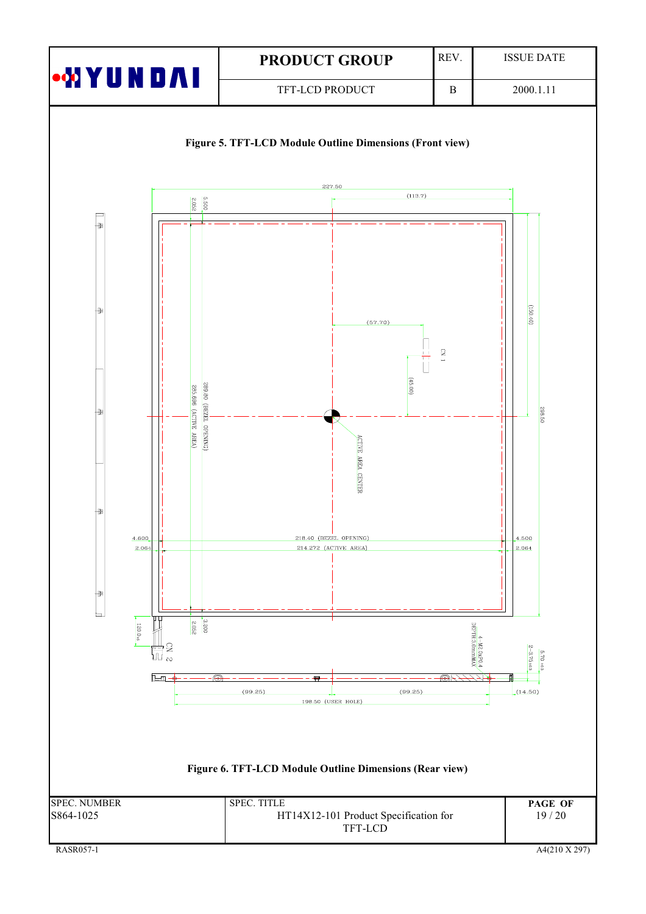